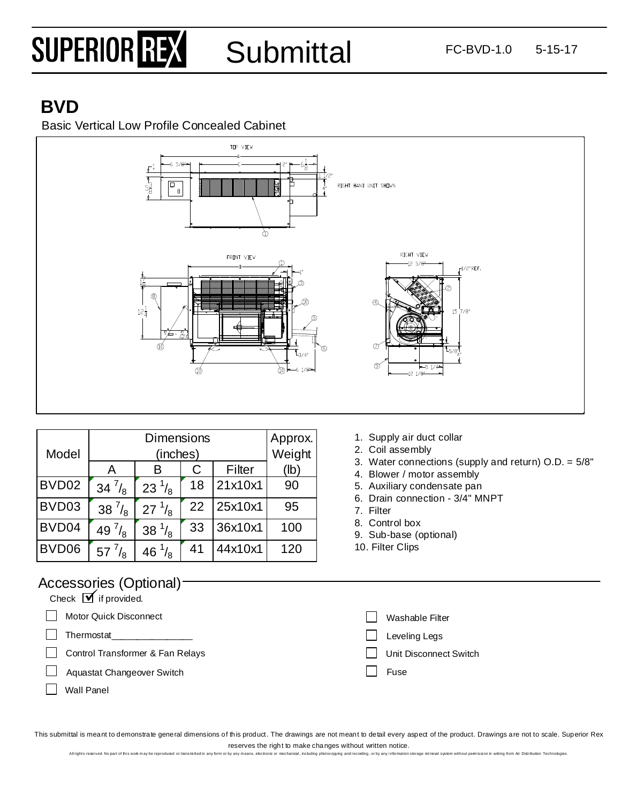# SUPERIOR REX

**Submittal** 

### **BVD**

Basic Vertical Low Profile Concealed Cabinet



|       | <b>Dimensions</b> |                  |     |         | Approx. |
|-------|-------------------|------------------|-----|---------|---------|
| Model |                   | Weight           |     |         |         |
|       | A                 | в                | C . | Filter  | (lb)    |
| BVD02 | 34 $\frac{7}{8}$  | $23^{1/8}$       | 18  | 21x10x1 | 90      |
| BVD03 | 38 $^{7}/_{8}$    | $27^{1/8}$       | 22  | 25x10x1 | 95      |
| BVD04 | 49 $^{7}/_{8}$    | 38 $\frac{1}{8}$ | 33  | 36x10x1 | 100     |
| BVD06 | $57^{7}/_8$       | 46 $\frac{1}{8}$ | 41  | 44x10x1 | 120     |

- 1. Supply air duct collar
- 2. Coil assembly
- 3. Water connections (supply and return) O.D. = 5/8"
- 4. Blower / motor assembly
- 5. Auxiliary condensate pan
- 6. Drain connection 3/4" MNPT
- 7. Filter
- 8. Control box
- 9. Sub-base (optional)
- 10. Filter Clips

#### Accessories (Optional)

| <b>NOUUUUUUUUUUUUUUUUUU</b>                      |                        |
|--------------------------------------------------|------------------------|
| Check $\boxed{\blacktriangledown}$ if provided.  |                        |
| Motor Quick Disconnect                           | Washable Filter        |
| Thermostat                                       | Leveling Legs          |
| $\mathbf{L}$<br>Control Transformer & Fan Relays | Unit Disconnect Switch |
| Aquastat Changeover Switch<br>$\mathbf{1}$       | Fuse                   |
| <b>Wall Panel</b>                                |                        |

This submittal is meant to demonstrate general dimensions of this product. The drawings are not meant to detail every aspect of the product. Drawings are not to scale. Superior Rex reserves the right to make changes without written notice.

Allrights reserved. No part of this work may be reproduced or tansmitted in any form or by any means, electronic or mechanical, including protocopying and recording, or by any information storage retrieval system without p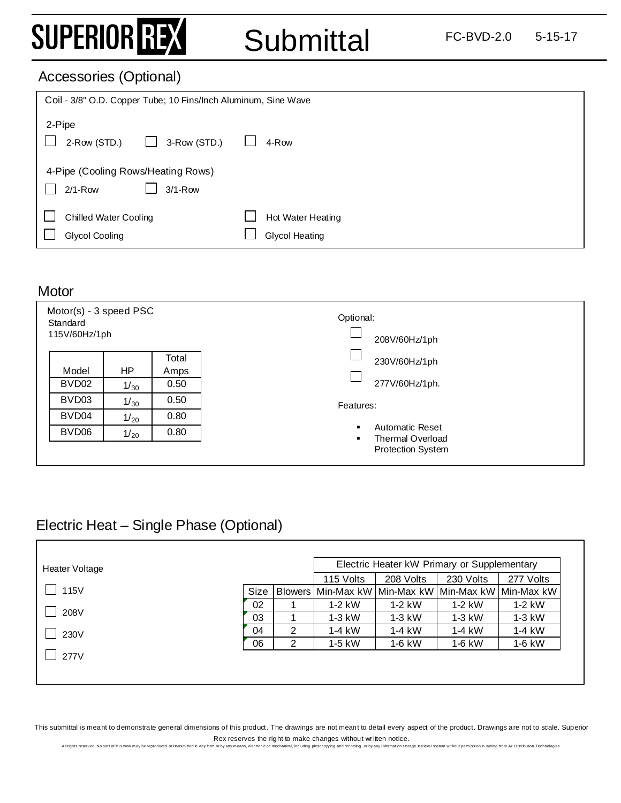### SUPERIOR REX

Submittal FC-BVD-2.0 5-15-17

#### Accessories (Optional)

| Coil - 3/8" O.D. Copper Tube; 10 Fins/Inch Aluminum, Sine Wave   |                                            |  |  |  |  |
|------------------------------------------------------------------|--------------------------------------------|--|--|--|--|
| 2-Pipe<br>3-Row (STD.)<br>2-Row (STD.)<br>$\mathbf{I}$           | 4-Row                                      |  |  |  |  |
| 4-Pipe (Cooling Rows/Heating Rows)<br>$2/1 - Row$<br>$3/1 - Row$ |                                            |  |  |  |  |
| <b>Chilled Water Cooling</b><br><b>Glycol Cooling</b>            | Hot Water Heating<br><b>Glycol Heating</b> |  |  |  |  |

#### **Motor**

 $\sqrt{ }$ 

| Motor(s) - 3 speed PSC<br>Standard<br>115V/60Hz/1ph |      |       | Optional:<br>208V/60Hz/1ph          |
|-----------------------------------------------------|------|-------|-------------------------------------|
|                                                     |      | Total | 230V/60Hz/1ph                       |
| Model                                               | HP   | Amps  |                                     |
| BVD <sub>02</sub>                                   | 1/30 | 0.50  | 277V/60Hz/1ph.                      |
| BVD03                                               | 1/30 | 0.50  | Features:                           |
| BVD04                                               | 1/20 | 0.80  |                                     |
| BVD06                                               | 1/20 | 0.80  | Automatic Reset<br>Thermal Overload |
|                                                     |      |       | <b>Protection System</b>            |

#### Electric Heat – Single Phase (Optional)

| Heater Voltage |             |   | Electric Heater kW Primary or Supplementary         |           |           |           |
|----------------|-------------|---|-----------------------------------------------------|-----------|-----------|-----------|
|                |             |   | 115 Volts                                           | 208 Volts | 230 Volts | 277 Volts |
| 115V           | <b>Size</b> |   | Blowers Min-Max kW Min-Max kW Min-Max kW Min-Max kW |           |           |           |
|                | 02          |   | $1-2$ kW                                            | $1-2$ kW  | $1-2$ kW  | $1-2$ kW  |
| 208V           | 03          |   | $1-3$ kW                                            | $1-3$ kW  | $1-3$ kW  | $1-3$ kW  |
| 230V           | 04          | 2 | $1-4$ kW                                            | $1-4$ kW  | $1-4$ kW  | $1-4$ kW  |
|                | 06          | 2 | 1-5 kW                                              | $1-6$ kW  | $1-6$ kW  | 1-6 kW    |
| 277V           |             |   |                                                     |           |           |           |
|                |             |   |                                                     |           |           |           |
|                |             |   |                                                     |           |           |           |

This submittal is meant to demonstrate general dimensions of this product. The drawings are not meant to detail every aspect of the product. Drawings are not to scale. Superior Rex reserves the right to make changes without written notice.<br>m or by any means, electronic or mechanical, including protocopying and recording, or by any information storage

All rights reserved. No part of this wok may be reproduced or tansmitted in any form or by any means, electronic or mechanical, including protocopying and recording, or by any information storage retrieval system without p